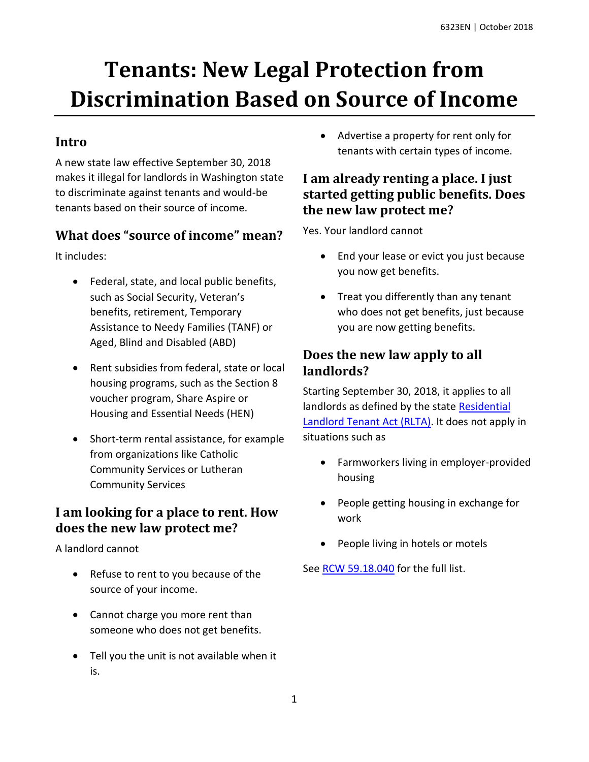# **Tenants: New Legal Protection from Discrimination Based on Source of Income**

### **Intro**

A new state law effective September 30, 2018 makes it illegal for landlords in Washington state to discriminate against tenants and would-be tenants based on their source of income.

#### **What does "source of income" mean?**

It includes:

- Federal, state, and local public benefits, such as Social Security, Veteran's benefits, retirement, Temporary Assistance to Needy Families (TANF) or Aged, Blind and Disabled (ABD)
- Rent subsidies from federal, state or local housing programs, such as the Section 8 voucher program, Share Aspire or Housing and Essential Needs (HEN)
- Short-term rental assistance, for example from organizations like Catholic Community Services or Lutheran Community Services

#### **I am looking for a place to rent. How does the new law protect me?**

A landlord cannot

- Refuse to rent to you because of the source of your income.
- Cannot charge you more rent than someone who does not get benefits.
- Tell you the unit is not available when it is.

 Advertise a property for rent only for tenants with certain types of income.

#### **I am already renting a place. I just started getting public benefits. Does the new law protect me?**

Yes. Your landlord cannot

- End your lease or evict you just because you now get benefits.
- Treat you differently than any tenant who does not get benefits, just because you are now getting benefits.

#### **Does the new law apply to all landlords?**

Starting September 30, 2018, it applies to all landlords as defined by the state [Residential](https://app.leg.wa.gov/RCW/default.aspx?cite=59.18)  [Landlord Tenant Act](https://app.leg.wa.gov/RCW/default.aspx?cite=59.18) (RLTA). It does not apply in situations such as

- Farmworkers living in employer-provided housing
- People getting housing in exchange for work
- People living in hotels or motels

See [RCW 59.18.040](https://app.leg.wa.gov/RCW/default.aspx?cite=59.18.040) for the full list.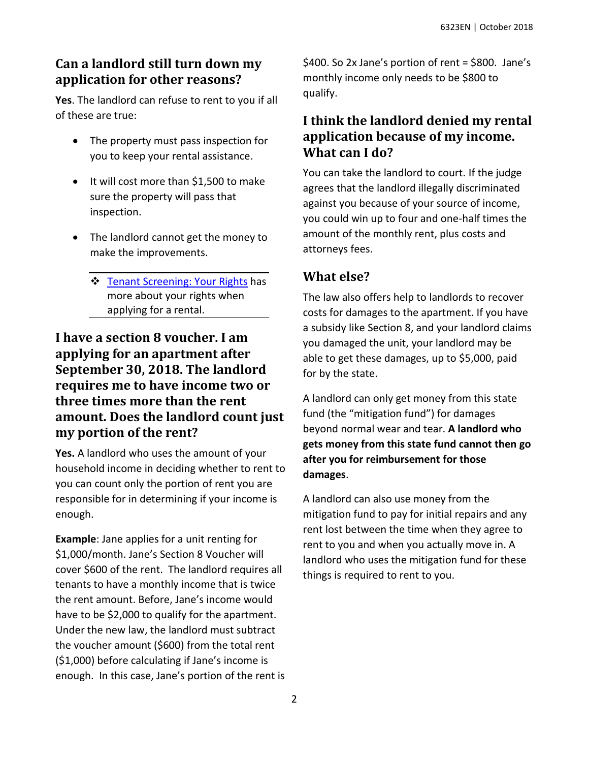## **Can a landlord still turn down my application for other reasons?**

**Yes**. The landlord can refuse to rent to you if all of these are true:

- The property must pass inspection for you to keep your rental assistance.
- It will cost more than \$1,500 to make sure the property will pass that inspection.
- The landlord cannot get the money to make the improvements.
	- [Tenant Screening: Your Rights](http://www.washingtonlawhelp.org/resource/new-state-law-what-a-landlord-needs-to-tell-y?ref=2lIvq) has more about your rights when applying for a rental.

### **I have a section 8 voucher. I am applying for an apartment after September 30, 2018. The landlord requires me to have income two or three times more than the rent amount. Does the landlord count just my portion of the rent?**

**Yes.** A landlord who uses the amount of your household income in deciding whether to rent to you can count only the portion of rent you are responsible for in determining if your income is enough.

**Example**: Jane applies for a unit renting for \$1,000/month. Jane's Section 8 Voucher will cover \$600 of the rent. The landlord requires all tenants to have a monthly income that is twice the rent amount. Before, Jane's income would have to be \$2,000 to qualify for the apartment. Under the new law, the landlord must subtract the voucher amount (\$600) from the total rent (\$1,000) before calculating if Jane's income is enough. In this case, Jane's portion of the rent is

\$400. So 2x Jane's portion of rent = \$800. Jane's monthly income only needs to be \$800 to qualify.

#### **I think the landlord denied my rental application because of my income. What can I do?**

You can take the landlord to court. If the judge agrees that the landlord illegally discriminated against you because of your source of income, you could win up to four and one-half times the amount of the monthly rent, plus costs and attorneys fees.

# **What else?**

The law also offers help to landlords to recover costs for damages to the apartment. If you have a subsidy like Section 8, and your landlord claims you damaged the unit, your landlord may be able to get these damages, up to \$5,000, paid for by the state.

A landlord can only get money from this state fund (the "mitigation fund") for damages beyond normal wear and tear. **A landlord who gets money from this state fund cannot then go after you for reimbursement for those damages**.

A landlord can also use money from the mitigation fund to pay for initial repairs and any rent lost between the time when they agree to rent to you and when you actually move in. A landlord who uses the mitigation fund for these things is required to rent to you.